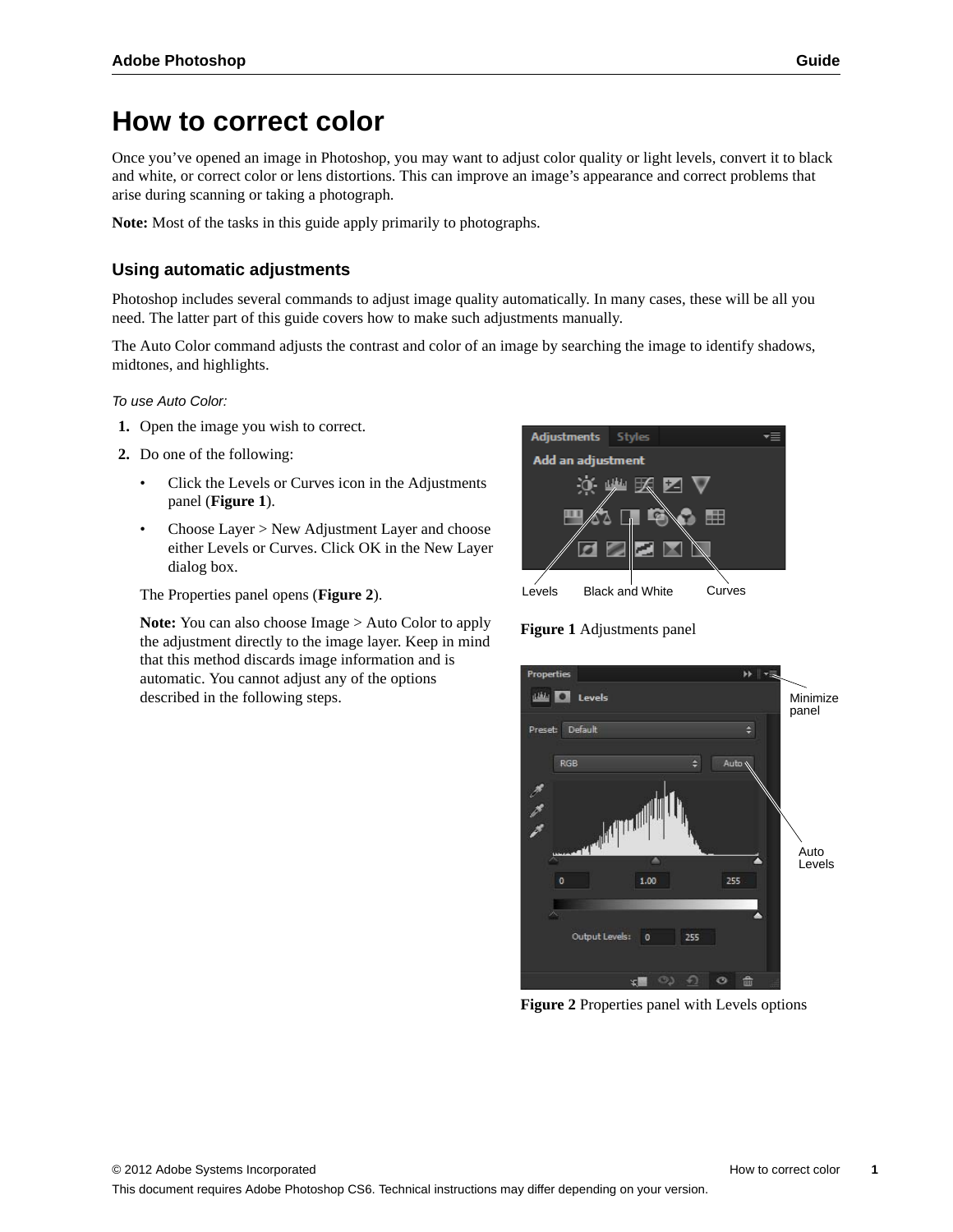# **How to correct color**

Once you've opened an image in Photoshop, you may want to adjust color quality or light levels, convert it to black and white, or correct color or lens distortions. This can improve an image's appearance and correct problems that arise during scanning or taking a photograph.

**Note:** Most of the tasks in this guide apply primarily to photographs.

## **Using automatic adjustments**

Photoshop includes several commands to adjust image quality automatically. In many cases, these will be all you need. The latter part of this guide covers how to make such adjustments manually.

The Auto Color command adjusts the contrast and color of an image by searching the image to identify shadows, midtones, and highlights.

*To use Auto Color:*

- **1.** Open the image you wish to correct.
- **2.** Do one of the following:
	- Click the Levels or Curves icon in the Adjustments panel (**[Figure 1](#page-0-0)**).
	- Choose Layer > New Adjustment Layer and choose either Levels or Curves. Click OK in the New Layer dialog box.

The Properties panel opens (**[Figure 2](#page-0-1)**).

**Note:** You can also choose Image > Auto Color to apply the adjustment directly to the image layer. Keep in mind that this method discards image information and is automatic. You cannot adjust any of the options described in the following steps.



## <span id="page-0-0"></span>**Figure 1** Adjustments panel



<span id="page-0-1"></span>**Figure 2** Properties panel with Levels options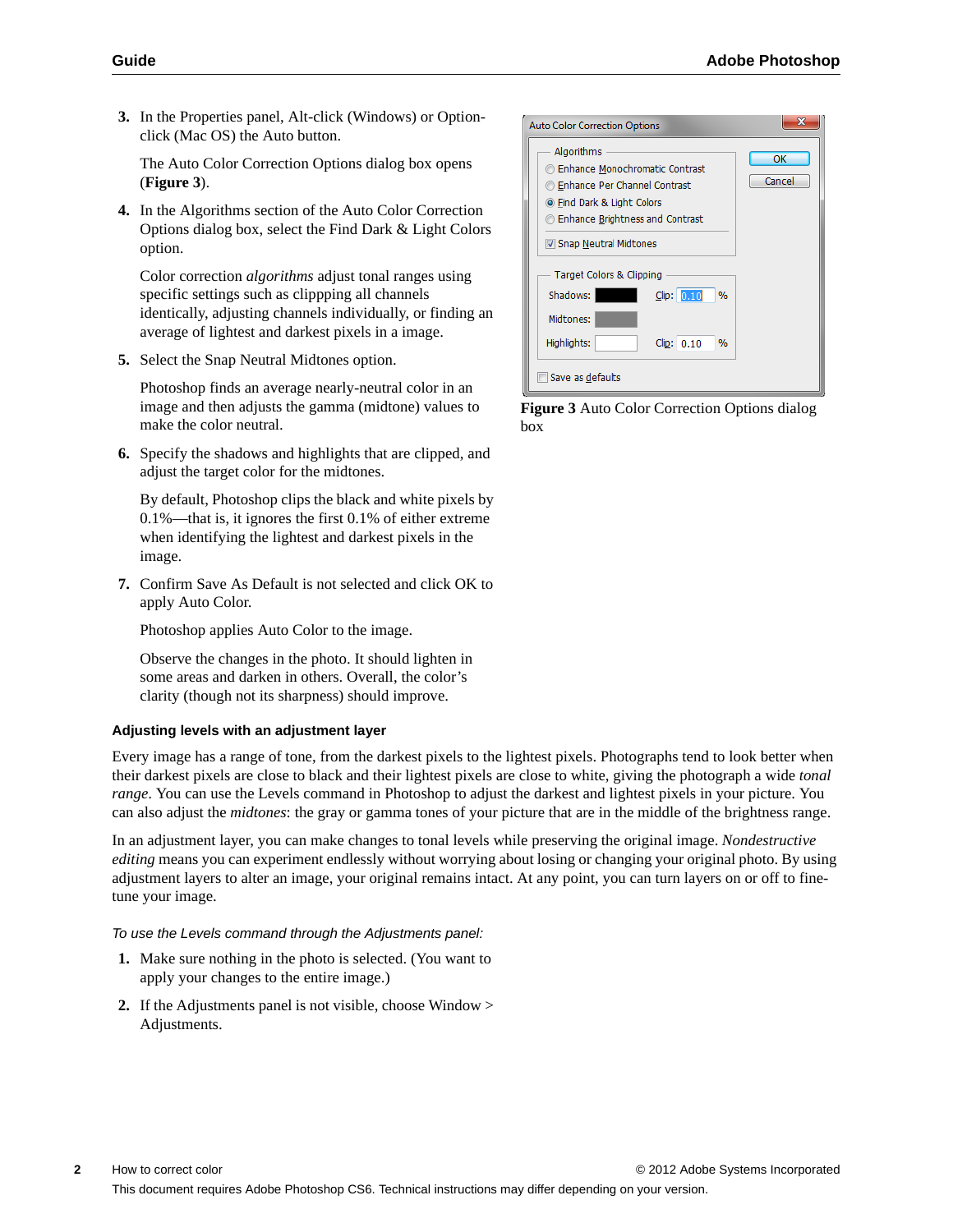**3.** In the Properties panel, Alt-click (Windows) or Optionclick (Mac OS) the Auto button.

The Auto Color Correction Options dialog box opens (**[Figure 3](#page-1-0)**).

**4.** In the Algorithms section of the Auto Color Correction Options dialog box, select the Find Dark & Light Colors option.

Color correction *algorithms* adjust tonal ranges using specific settings such as clippping all channels identically, adjusting channels individually, or finding an average of lightest and darkest pixels in a image.

**5.** Select the Snap Neutral Midtones option.

Photoshop finds an average nearly-neutral color in an image and then adjusts the gamma (midtone) values to make the color neutral.

**6.** Specify the shadows and highlights that are clipped, and adjust the target color for the midtones.

By default, Photoshop clips the black and white pixels by 0.1%—that is, it ignores the first 0.1% of either extreme when identifying the lightest and darkest pixels in the image.

**7.** Confirm Save As Default is not selected and click OK to apply Auto Color.

Photoshop applies Auto Color to the image.

Observe the changes in the photo. It should lighten in some areas and darken in others. Overall, the color's clarity (though not its sharpness) should improve.

#### **Adjusting levels with an adjustment layer**

Every image has a range of tone, from the darkest pixels to the lightest pixels. Photographs tend to look better when their darkest pixels are close to black and their lightest pixels are close to white, giving the photograph a wide *tonal range*. You can use the Levels command in Photoshop to adjust the darkest and lightest pixels in your picture. You can also adjust the *midtones*: the gray or gamma tones of your picture that are in the middle of the brightness range.

In an adjustment layer, you can make changes to tonal levels while preserving the original image. *Nondestructive editing* means you can experiment endlessly without worrying about losing or changing your original photo. By using adjustment layers to alter an image, your original remains intact. At any point, you can turn layers on or off to finetune your image.

#### *To use the Levels command through the Adjustments panel:*

- **1.** Make sure nothing in the photo is selected. (You want to apply your changes to the entire image.)
- **2.** If the Adjustments panel is not visible, choose Window > Adjustments.

| <b>Auto Color Correction Options</b>                                                                                                                                                 |              |
|--------------------------------------------------------------------------------------------------------------------------------------------------------------------------------------|--------------|
| Algorithms<br>Enhance Monochromatic Contrast<br><b>Enhance Per Channel Contrast</b><br><b>O</b> Find Dark & Light Colors<br>Enhance Brightness and Contrast<br>Snap Neutral Midtones | ΟК<br>Cancel |
| Target Colors & Clipping<br>Shadows:<br>$C$ lip: $0.10$<br>%<br>Midtones:                                                                                                            |              |
| Highlights:<br>Clip: 0.10<br>%                                                                                                                                                       |              |
| Save as defaults                                                                                                                                                                     |              |

<span id="page-1-0"></span>**Figure 3** Auto Color Correction Options dialog box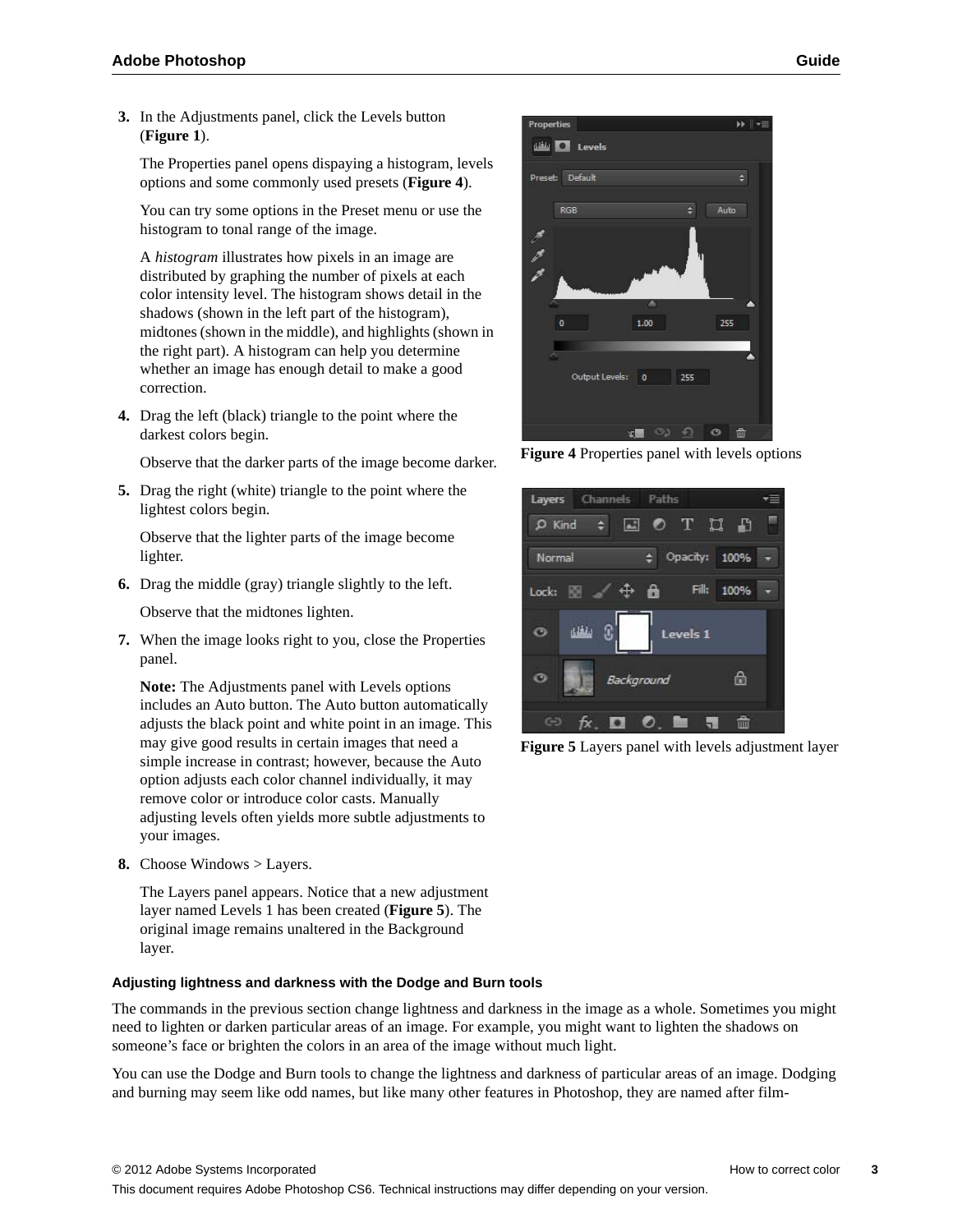**3.** In the Adjustments panel, click the Levels button (**[Figure 1](#page-0-0)**).

The Properties panel opens dispaying a histogram, levels options and some commonly used presets (**[Figure 4](#page-2-0)**).

You can try some options in the Preset menu or use the histogram to tonal range of the image.

A *histogram* illustrates how pixels in an image are distributed by graphing the number of pixels at each color intensity level. The histogram shows detail in the shadows (shown in the left part of the histogram), midtones (shown in the middle), and highlights (shown in the right part). A histogram can help you determine whether an image has enough detail to make a good correction.

**4.** Drag the left (black) triangle to the point where the darkest colors begin.

Observe that the darker parts of the image become darker.

**5.** Drag the right (white) triangle to the point where the lightest colors begin.

Observe that the lighter parts of the image become lighter.

**6.** Drag the middle (gray) triangle slightly to the left.

Observe that the midtones lighten.

**7.** When the image looks right to you, close the Properties panel.

**Note:** The Adjustments panel with Levels options includes an Auto button. The Auto button automatically adjusts the black point and white point in an image. This may give good results in certain images that need a simple increase in contrast; however, because the Auto option adjusts each color channel individually, it may remove color or introduce color casts. Manually adjusting levels often yields more subtle adjustments to your images.

**8.** Choose Windows > Layers.

The Layers panel appears. Notice that a new adjustment layer named Levels 1 has been created (**[Figure 5](#page-2-1)**). The original image remains unaltered in the Background layer.

## **Adjusting lightness and darkness with the Dodge and Burn tools**

The commands in the previous section change lightness and darkness in the image as a whole. Sometimes you might need to lighten or darken particular areas of an image. For example, you might want to lighten the shadows on someone's face or brighten the colors in an area of the image without much light.

You can use the Dodge and Burn tools to change the lightness and darkness of particular areas of an image. Dodging and burning may seem like odd names, but like many other features in Photoshop, they are named after film-



<span id="page-2-0"></span>**Figure 4** Properties panel with levels options

<span id="page-2-1"></span>

**Figure 5** Layers panel with levels adjustment layer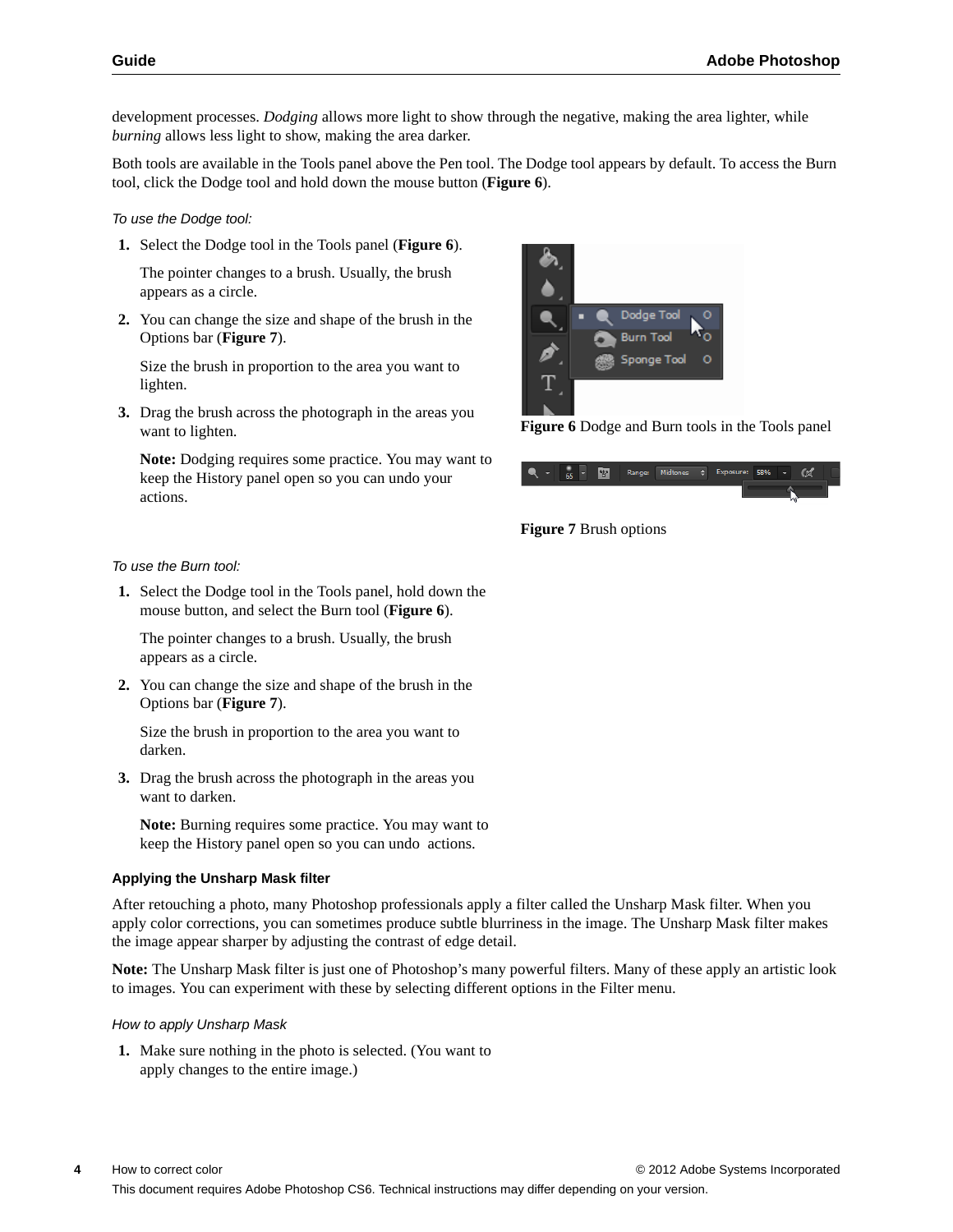development processes. *Dodging* allows more light to show through the negative, making the area lighter, while *burning* allows less light to show, making the area darker.

Both tools are available in the Tools panel above the Pen tool. The Dodge tool appears by default. To access the Burn tool, click the Dodge tool and hold down the mouse button (**[Figure 6](#page-3-0)**).

*To use the Dodge tool:*

**1.** Select the Dodge tool in the Tools panel (**[Figure 6](#page-3-0)**).

The pointer changes to a brush. Usually, the brush appears as a circle.

**2.** You can change the size and shape of the brush in the Options bar (**[Figure 7](#page-3-1)**).

Size the brush in proportion to the area you want to lighten.

**3.** Drag the brush across the photograph in the areas you want to lighten.

**Note:** Dodging requires some practice. You may want to keep the History panel open so you can undo your actions.



<span id="page-3-0"></span>**Figure 6** Dodge and Burn tools in the Tools panel



<span id="page-3-1"></span>

#### *To use the Burn tool:*

**1.** Select the Dodge tool in the Tools panel, hold down the mouse button, and select the Burn tool (**[Figure 6](#page-3-0)**).

The pointer changes to a brush. Usually, the brush appears as a circle.

**2.** You can change the size and shape of the brush in the Options bar (**[Figure 7](#page-3-1)**).

Size the brush in proportion to the area you want to darken.

**3.** Drag the brush across the photograph in the areas you want to darken.

**Note:** Burning requires some practice. You may want to keep the History panel open so you can undo actions.

#### **Applying the Unsharp Mask filter**

After retouching a photo, many Photoshop professionals apply a filter called the Unsharp Mask filter. When you apply color corrections, you can sometimes produce subtle blurriness in the image. The Unsharp Mask filter makes the image appear sharper by adjusting the contrast of edge detail.

**Note:** The Unsharp Mask filter is just one of Photoshop's many powerful filters. Many of these apply an artistic look to images. You can experiment with these by selecting different options in the Filter menu.

#### *How to apply Unsharp Mask*

**1.** Make sure nothing in the photo is selected. (You want to apply changes to the entire image.)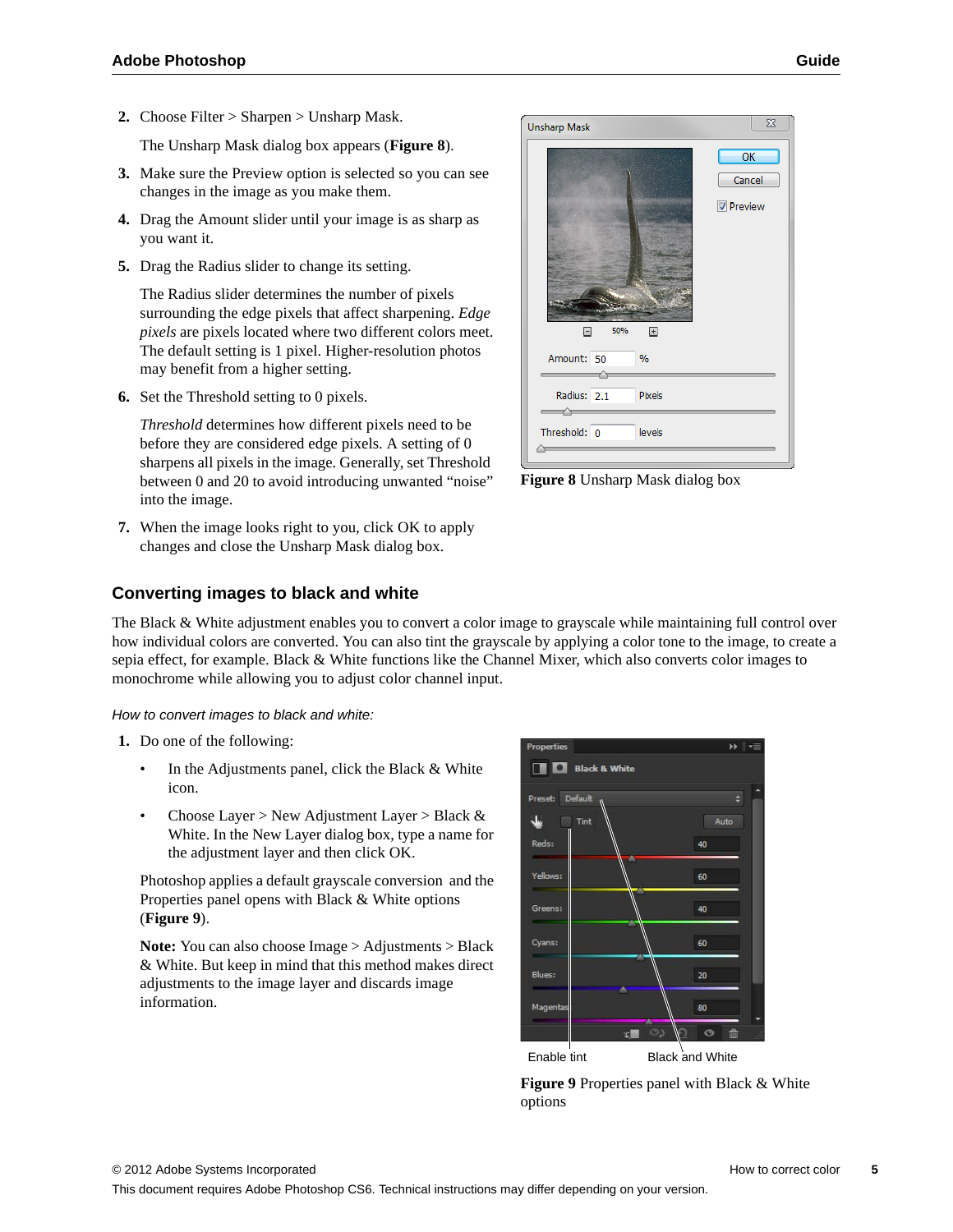**2.** Choose Filter > Sharpen > Unsharp Mask.

The Unsharp Mask dialog box appears (**[Figure 8](#page-4-1)**).

- **3.** Make sure the Preview option is selected so you can see changes in the image as you make them.
- **4.** Drag the Amount slider until your image is as sharp as you want it.
- **5.** Drag the Radius slider to change its setting.

The Radius slider determines the number of pixels surrounding the edge pixels that affect sharpening. *Edge pixels* are pixels located where two different colors meet. The default setting is 1 pixel. Higher-resolution photos may benefit from a higher setting.

**6.** Set the Threshold setting to 0 pixels.

*Threshold* determines how different pixels need to be before they are considered edge pixels. A setting of 0 sharpens all pixels in the image. Generally, set Threshold between 0 and 20 to avoid introducing unwanted "noise" into the image.

**7.** When the image looks right to you, click OK to apply changes and close the Unsharp Mask dialog box.

# $\Sigma\!$ **Unsharp Mask**  $\overline{\text{OK}}$ Cancel Preview Ē  $\overline{+}$ Amount: 50  $Q_0$ Radius: 2.1 **Pixels** Threshold: 0 levels

<span id="page-4-1"></span>**Figure 8** Unsharp Mask dialog box

## **Converting images to black and white**

The Black & White adjustment enables you to convert a color image to grayscale while maintaining full control over how individual colors are converted. You can also tint the grayscale by applying a color tone to the image, to create a sepia effect, for example. Black & White functions like the Channel Mixer, which also converts color images to monochrome while allowing you to adjust color channel input.

## *How to convert images to black and white:*

- **1.** Do one of the following:
	- In the Adjustments panel, click the Black & White icon.
	- Choose Layer > New Adjustment Layer > Black  $\&$ White. In the New Layer dialog box, type a name for the adjustment layer and then click OK.

Photoshop applies a default grayscale conversion and the Properties panel opens with Black & White options (**[Figure 9](#page-4-0)**).

**Note:** You can also choose Image > Adjustments > Black & White. But keep in mind that this method makes direct adjustments to the image layer and discards image information.



<span id="page-4-0"></span>**Figure 9** Properties panel with Black & White options

This document requires Adobe Photoshop CS6. Technical instructions may differ depending on your version.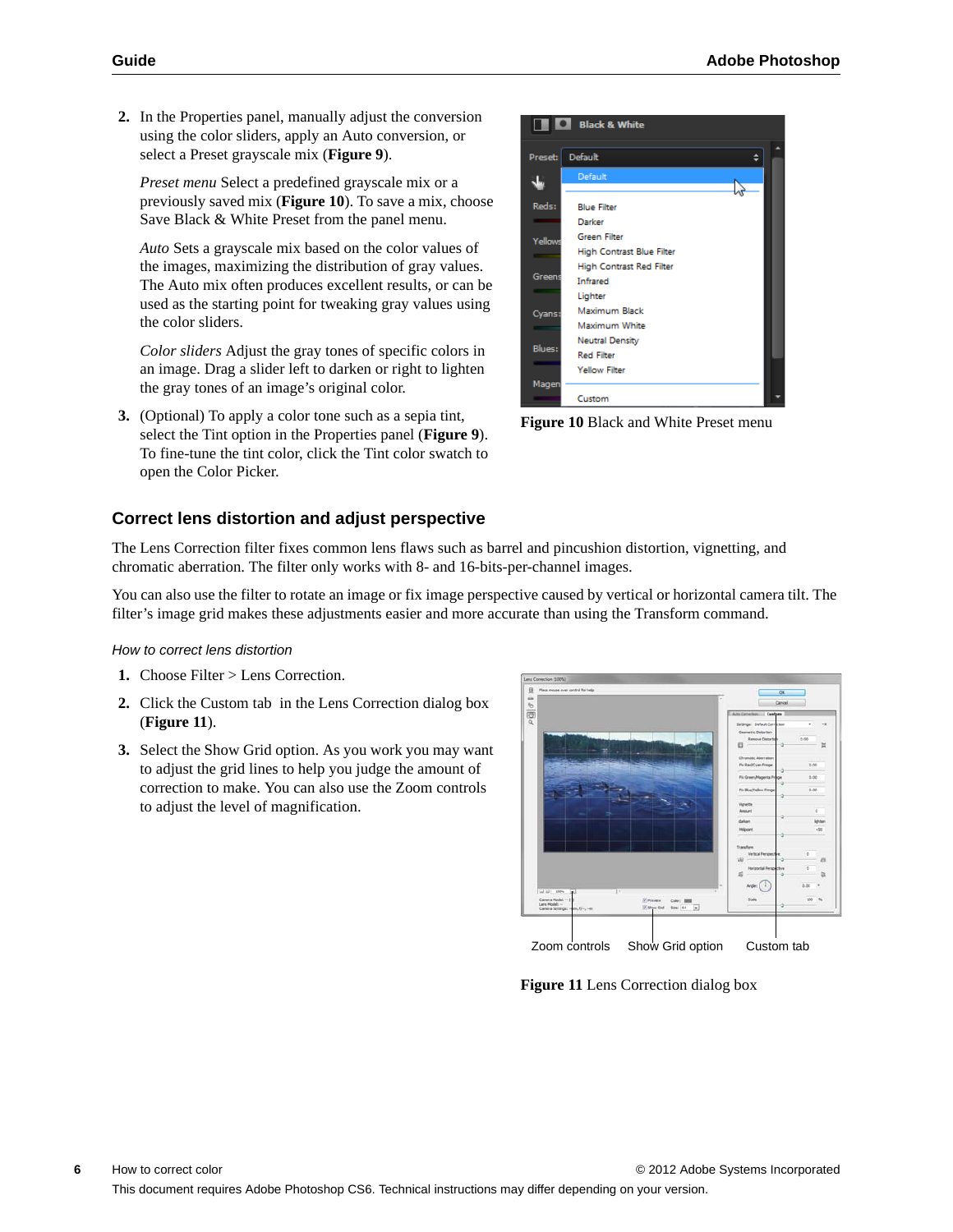**2.** In the Properties panel, manually adjust the conversion using the color sliders, apply an Auto conversion, or select a Preset grayscale mix (**[Figure 9](#page-4-0)**).

*Preset menu* Select a predefined grayscale mix or a previously saved mix (**[Figure 10](#page-5-0)**). To save a mix, choose Save Black & White Preset from the panel menu.

*Auto* Sets a grayscale mix based on the color values of the images, maximizing the distribution of gray values. The Auto mix often produces excellent results, or can be used as the starting point for tweaking gray values using the color sliders.

*Color sliders* Adjust the gray tones of specific colors in an image. Drag a slider left to darken or right to lighten the gray tones of an image's original color.

**3.** (Optional) To apply a color tone such as a sepia tint, select the Tint option in the Properties panel (**[Figure 9](#page-4-0)**). To fine-tune the tint color, click the Tint color swatch to open the Color Picker.

# **Correct lens distortion and adjust perspective**

The Lens Correction filter fixes common lens flaws such as barrel and pincushion distortion, vignetting, and chromatic aberration. The filter only works with 8- and 16-bits-per-channel images.

You can also use the filter to rotate an image or fix image perspective caused by vertical or horizontal camera tilt. The filter's image grid makes these adjustments easier and more accurate than using the Transform command.

## *How to correct lens distortion*

- **1.** Choose Filter > Lens Correction.
- **2.** Click the Custom tab in the Lens Correction dialog box (**[Figure 11](#page-5-1)**).
- **3.** Select the Show Grid option. As you work you may want to adjust the grid lines to help you judge the amount of correction to make. You can also use the Zoom controls to adjust the level of magnification.



Zoom controls Show Grid option Custom tab

<span id="page-5-1"></span>**Figure 11** Lens Correction dialog box

**TE** Black & White Preset: Default  $\div$ 业 Reds: **Blue Filter** Darker Green Filter Yello **High Contrast Blue Filter** High Contrast Red Filter Gree Infrared Lighter Maximum Black Cyans Maximum White **Neutral Density** Blues **Red Filter** Yellow Filter Mage Custom

<span id="page-5-0"></span>**Figure 10** Black and White Preset menu